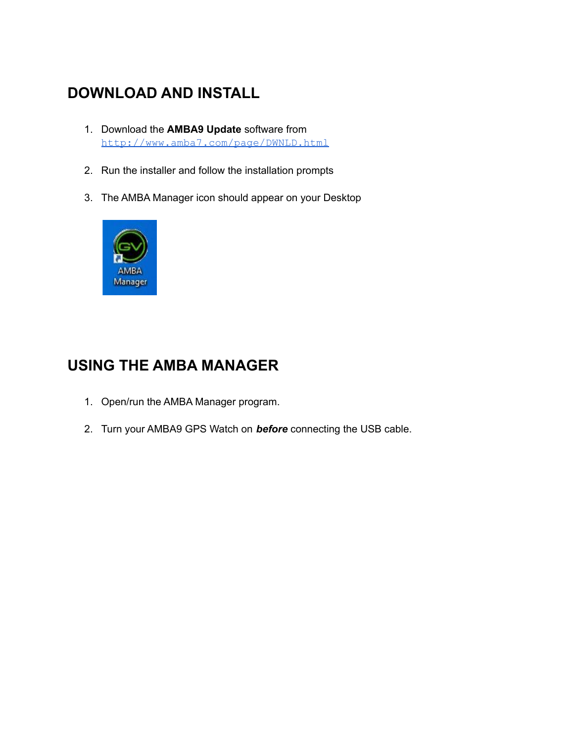## **DOWNLOAD AND INSTALL**

- 1. Download the **AMBA9 Update** software from <http://www.amba7.com/page/DWNLD.html>
- 2. Run the installer and follow the installation prompts
- 3. The AMBA Manager icon should appear on your Desktop



## **USING THE AMBA MANAGER**

- 1. Open/run the AMBA Manager program.
- 2. Turn your AMBA9 GPS Watch on *before* connecting the USB cable.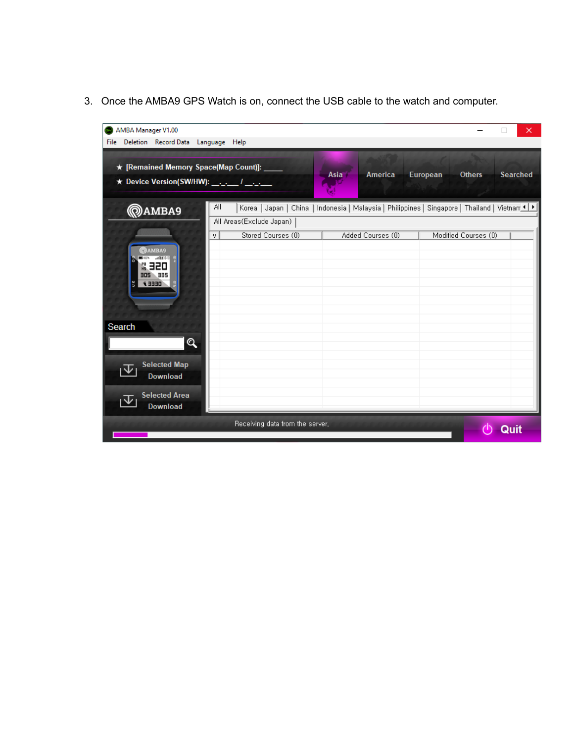3. Once the AMBA9 GPS Watch is on, connect the USB cable to the watch and computer.

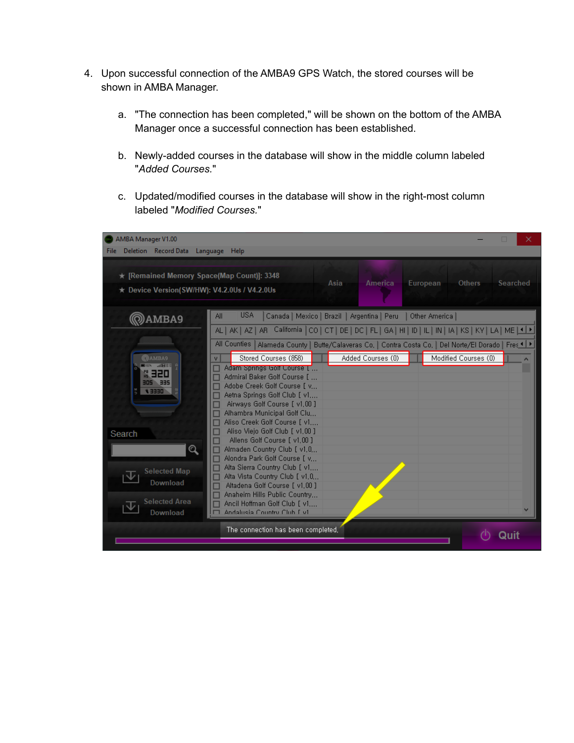- 4. Upon successful connection of the AMBA9 GPS Watch, the stored courses will be shown in AMBA Manager.
	- a. "The connection has been completed," will be shown on the bottom of the AMBA Manager once a successful connection has been established.
	- b. Newly-added courses in the database will show in the middle column labeled "*Added Courses.*"
	- c. Updated/modified courses in the database will show in the right-most column labeled "*Modified Courses.*"

| AMBA Manager V1.00<br>Deletion Record Data Language Help<br>File:                                                                                                                    | п                                                                                                                                                                                                                                                                                                                                                                                                                                                                                                                                                                                                                                                                                                                                                        | × |
|--------------------------------------------------------------------------------------------------------------------------------------------------------------------------------------|----------------------------------------------------------------------------------------------------------------------------------------------------------------------------------------------------------------------------------------------------------------------------------------------------------------------------------------------------------------------------------------------------------------------------------------------------------------------------------------------------------------------------------------------------------------------------------------------------------------------------------------------------------------------------------------------------------------------------------------------------------|---|
| ★ [Remained Memory Space(Map Count)]: 3348<br>★ Device Version(SW/HW): V4.2.0Us / V4.2.0Us                                                                                           | Asia<br>America<br>European<br><b>Others</b><br>Searched                                                                                                                                                                                                                                                                                                                                                                                                                                                                                                                                                                                                                                                                                                 |   |
| @amba9                                                                                                                                                                               | <b>USA</b><br>Canada   Mexico   Brazil   Argentina   Peru<br>All<br>Other America<br>AL   AK   AZ   AR   California   CO   CT   DE   DC   FL   GA   HI   ID   IL   IN   IA   KS   KY   LA   ME   1   1                                                                                                                                                                                                                                                                                                                                                                                                                                                                                                                                                   |   |
| <b>@AMBA9</b><br><b>SERIES FOR</b><br>69 32 D<br><b>305 335</b><br><b>DEEE</b><br>Search<br>$\mathbf{\Omega}$<br><b>Selected Map</b><br>Download<br><b>Selected Area</b><br>Download | All Counties<br>Alameda County   Butte/Calaveras Co,   Contra Costa Co,   Del Norte/El Dorado   Fres 1   ▶<br>Stored Courses (858)<br>Added Courses (0)<br>Modified Courses (0)<br>V<br>Adam Springs Golf Course [1,1]<br>Admiral Baker Golf Course [<br>Adobe Creek Golf Course F.v<br>Aetna Springs Golf Club [v1<br>Airways Golf Course [ v1,00 ]<br>Alhambra Municipal Golf Clu<br>Aliso Creek Golf Course [ v1<br>Aliso Vieio Golf Club [ v1.00 ]<br>Allens Golf Course [ v1.00 ]<br>Almaden Country Club [ v1.0<br>Alondra Park Golf Course T.v<br>Alta Sierra Country Club [v1<br>Alta Vista Country Club [v1,0,,,<br>Altadena Golf Course F v1.00 1<br>Anaheim Hills Public Country<br>Ancil Hoffman Golf Club [v1<br>Andalusia Country Club Ev1 | A |
|                                                                                                                                                                                      | The connection has been completed,                                                                                                                                                                                                                                                                                                                                                                                                                                                                                                                                                                                                                                                                                                                       |   |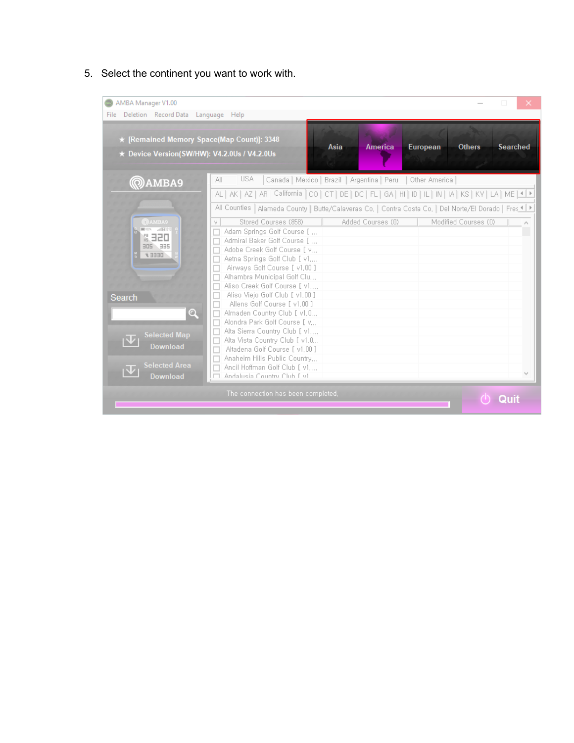5. Select the continent you want to work with.

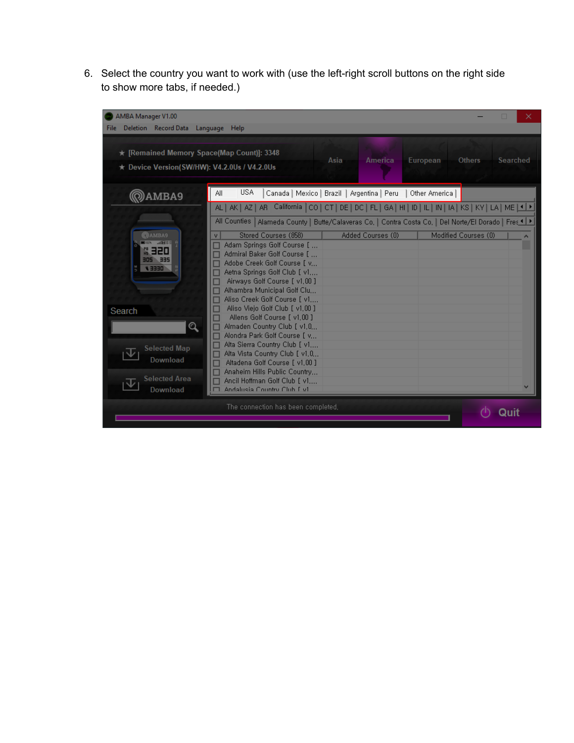6. Select the country you want to work with (use the left-right scroll buttons on the right side to show more tabs, if needed.)

| AMBA Manager V1.00<br>Deletion Record Data Language Help<br>File:                          |                                                                                                                                                                                                                                                                                                      | $\times$         |
|--------------------------------------------------------------------------------------------|------------------------------------------------------------------------------------------------------------------------------------------------------------------------------------------------------------------------------------------------------------------------------------------------------|------------------|
| ★ [Remained Memory Space(Map Count)]: 3348<br>★ Device Version(SW/HW): V4.2.0Us / V4.2.0Us | America<br>European<br>Asia<br><b>Others</b>                                                                                                                                                                                                                                                         | Searched         |
| @amba9                                                                                     | <b>USA</b><br>All<br>Canada   Mexico   Brazil   Argentina   Peru<br>Other America                                                                                                                                                                                                                    |                  |
| <b>@AMBA9</b><br>001 . JAN 010                                                             | AL   AK   AZ   AR   California   CO   CT   DE   DC   FL   GA   HI   ID   IL   IN   IA   KS   KY   LA   ME   1 D<br>All Counties   Alameda County   Butte/Calaveras Co,   Contra Costa Co,   Del Norte/El Dorado   Fres 1 ▶<br>Stored Courses (858)<br>Added Courses (0)<br>Modified Courses (0)<br>٧ | $\blacktriangle$ |
| 69 32 D<br><b>2EE 20E</b><br><b>DEEE</b>                                                   | Adam Springs Golf Course [<br>Admiral Baker Golf Course [<br>Adobe Creek Golf Course T.v<br>Aetna Springs Golf Club [v1,                                                                                                                                                                             |                  |
|                                                                                            | Airways Golf Course [ v1,00 ]<br>Alhambra Municipal Golf Clu<br>Aliso Creek Golf Course [ v1<br>Aliso Viejo Golf Club [ v1,00 ]                                                                                                                                                                      |                  |
| Search<br>$\mathbf{\mathsf{Q}}$                                                            | Allens Golf Course [v1,00]<br>Almaden Country Club [ v1.0<br>Alondra Park Golf Course T.v                                                                                                                                                                                                            |                  |
| <b>Selected Map</b><br>Download                                                            | Alta Sierra Country Club [v1,<br>Alta Vista Country Club [v1,0,.,<br>Altadena Golf Course [ v1.00 ]<br>Anaheim Hills Public Country                                                                                                                                                                  |                  |
| <b>Selected Area</b><br>Download                                                           | Ancil Hoffman Golf Club [ v1<br>Andalusia Country Club Ev1<br>┍                                                                                                                                                                                                                                      |                  |
|                                                                                            | The connection has been completed,                                                                                                                                                                                                                                                                   |                  |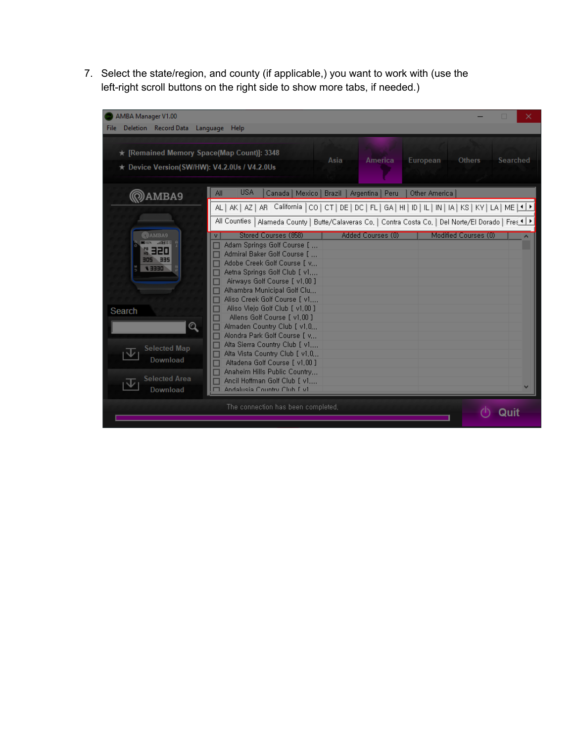7. Select the state/region, and county (if applicable,) you want to work with (use the left-right scroll buttons on the right side to show more tabs, if needed.)

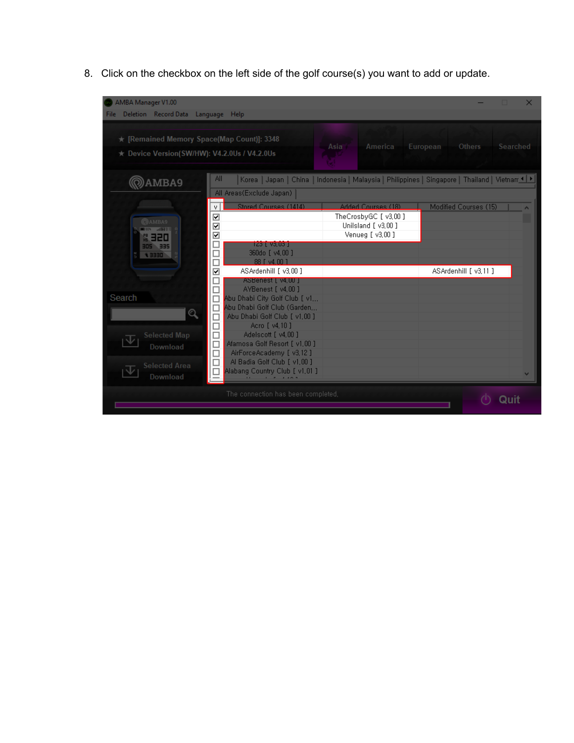8. Click on the checkbox on the left side of the golf course(s) you want to add or update.

| AMBA Manager V1.00<br>Deletion Record Data Language Help<br><b>File</b>                                                                   |                                                                                                                                                                                                                                                                                                                                                                                                                                                                                                                                        |                                                                                  |                                                                                                 |
|-------------------------------------------------------------------------------------------------------------------------------------------|----------------------------------------------------------------------------------------------------------------------------------------------------------------------------------------------------------------------------------------------------------------------------------------------------------------------------------------------------------------------------------------------------------------------------------------------------------------------------------------------------------------------------------------|----------------------------------------------------------------------------------|-------------------------------------------------------------------------------------------------|
| ★ [Remained Memory Space(Map Count)]: 3348<br>★ Device Version(SW/HW): V4.2.0Us / V4.2.0Us                                                |                                                                                                                                                                                                                                                                                                                                                                                                                                                                                                                                        | Asia<br>America                                                                  | Others<br>Searched<br>European                                                                  |
| AMBA9                                                                                                                                     | All<br>All Areas(Exclude Japan)                                                                                                                                                                                                                                                                                                                                                                                                                                                                                                        |                                                                                  | Korea   Japan   China   Indonesia   Malaysia   Philippines   Singapore   Thailand   Vietnam ♦ ▶ |
| <b>@AMBA9</b><br><b>COR SOMED</b><br>Q 520<br>305 335<br>4 3330<br>Search<br>Q<br><b>Selected Map</b><br>Download<br><b>Selected Area</b> | Stored Courses (1414)<br>V.<br>☑<br>☑<br>☑<br>□<br>$123$ [ $93,03$ ]<br>360do [ v4.00 ]<br>□<br>88 [ y4.00 ]<br>□<br>$\overline{\mathbf{v}}$<br>ASArdenhill [v3.00]<br>ASBenest [ v4, UU ]<br>AYBenest [ v4,00 ]<br>$\Box$<br>Abu Dhabi City Golf Club [v1<br>$\Box$<br>Abu Dhabi Golf Club (Garden<br>$\Box$<br>Abu Dhabi Golf Club [ v1,00 ]<br>□<br>$\Box$<br>Acro [ v4, 10 ]<br>$\Box$<br>Adelscott [ v4.00 ]<br>$\Box$<br>Afamosa Golf Resort [ v1.00 ]<br>$\Box$<br>AirForceAcademy [v3,12]<br>Al Badia Golf Club [ v1,00 ]<br>□ | Added Courses (18)<br>TheCrosbyGC [v3,00]<br>Unilsland [v3.00]<br>Venueg [v3,00] | Modified Courses (15)<br>ASArdenhill [v3.11]                                                    |
| $\overline{\mathbb{V}}$<br>Download                                                                                                       | Alabang Country Club [ v1,01 ]<br>□<br>The connection has been completed,                                                                                                                                                                                                                                                                                                                                                                                                                                                              |                                                                                  | v                                                                                               |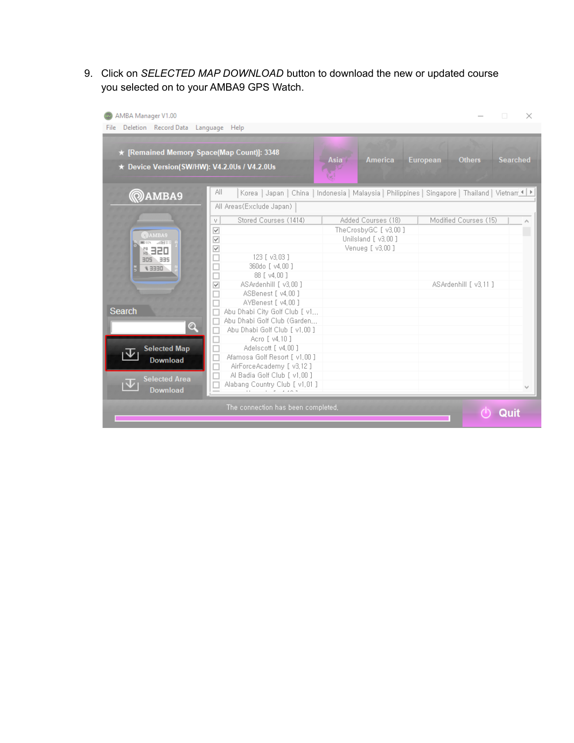9. Click on *SELECTED MAP DOWNLOAD* button to download the new or updated course you selected on to your AMBA9 GPS Watch.

| ★ Device Version(SW/HW): V4.2.0Us / V4.2.0Us | File Deletion Record Data Language Help<br>★ [Remained Memory Space(Map Count)]: 3348 | Asia                | America European Others<br><b>Searched</b>                                                        |
|----------------------------------------------|---------------------------------------------------------------------------------------|---------------------|---------------------------------------------------------------------------------------------------|
| @amba9                                       | ΑIΙ                                                                                   |                     | Korea   Japan   China   Indonesia   Malaysia   Philippines   Singapore   Thailand   Vietnam 1   ▶ |
|                                              | All Areas(Exclude Japan)                                                              |                     |                                                                                                   |
|                                              | Stored Courses (1414)<br>٧                                                            | Added Courses (18)  | Modified Courses (15)                                                                             |
|                                              |                                                                                       | TheCrosbyGC [v3,00] |                                                                                                   |
| <b>@AMBA9</b>                                | V<br>V                                                                                | Unilsland [v3.00]   |                                                                                                   |
| allH<br><b>MO UPL</b>                        | V                                                                                     | Venueg [v3,00]      |                                                                                                   |
| <b>CISE &amp;</b><br>305 335                 | 123 [ v3.03 ]                                                                         |                     |                                                                                                   |
| <b>UEEE</b>                                  | 360do [ v4.00 ]                                                                       |                     |                                                                                                   |
|                                              | 88 [ v4.00 ]                                                                          |                     |                                                                                                   |
|                                              | ASArdenhill [ v3.00 ]<br>V                                                            |                     | ASArdenhill [v3.11]                                                                               |
|                                              | ASBenest [ v4.00 ]                                                                    |                     |                                                                                                   |
|                                              | AYBenest [ v4.00 ]                                                                    |                     |                                                                                                   |
| <b>Search</b>                                | Abu Dhabi City Golf Club [ v1,.,                                                      |                     |                                                                                                   |
|                                              | Abu Dhabi Golf Club (Garden                                                           |                     |                                                                                                   |
| Q                                            | Abu Dhabi Golf Club [ v1.00 ]                                                         |                     |                                                                                                   |
|                                              | Acro [ v4.10 ]                                                                        |                     |                                                                                                   |
| <b>Selected Map</b>                          | Adelscott [ v4.00 ]                                                                   |                     |                                                                                                   |
| <b>Download</b>                              | Afamosa Golf Resort [ v1.00 ]                                                         |                     |                                                                                                   |
|                                              | AirForceAcademy [v3.12]                                                               |                     |                                                                                                   |
| <b>Selected Area</b>                         | Al Badia Golf Club [v1,00]<br>⊏                                                       |                     |                                                                                                   |
| <b>Download</b>                              | Alabang Country Club [ v1,01 ]<br>and the company of the company of                   |                     |                                                                                                   |